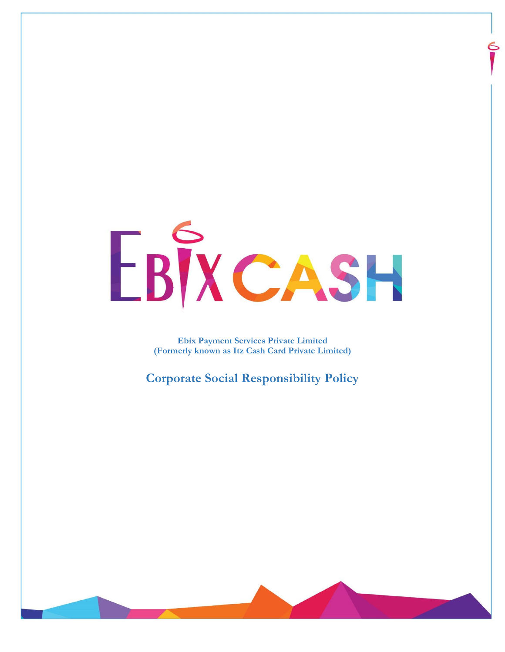# EBIXCASH

**Ebix Payment Services Private Limited (Formerly known as Itz Cash Card Private Limited)**

**Corporate Social Responsibility Policy**

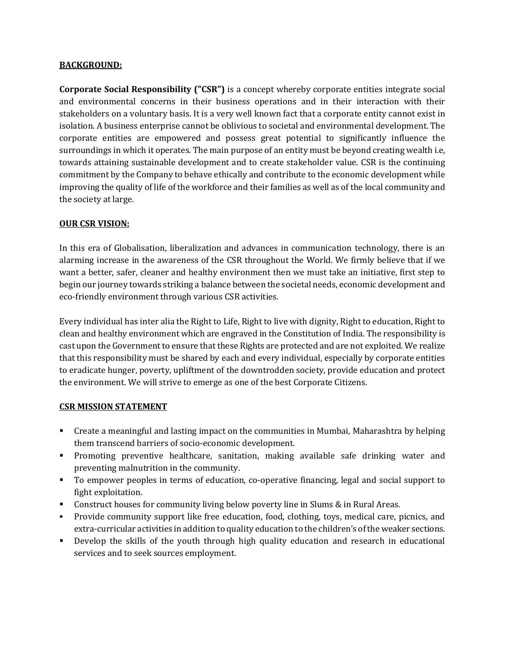#### **BACKGROUND:**

**Corporate Social Responsibility ("CSR")** is a concept whereby corporate entities integrate social and environmental concerns in their business operations and in their interaction with their stakeholders on a voluntary basis. It is a very well known fact that a corporate entity cannot exist in isolation. A business enterprise cannot be oblivious to societal and environmental development. The corporate entities are empowered and possess great potential to significantly influence the surroundings in which it operates. The main purpose of an entity must be beyond creating wealth i.e, towards attaining sustainable development and to create stakeholder value. CSR is the continuing commitment by the Company to behave ethically and contribute to the economic development while improving the quality of life of the workforce and their families as well as of the local community and the society at large.

#### **OUR CSR VISION:**

In this era of Globalisation, liberalization and advances in communication technology, there is an alarming increase in the awareness of the CSR throughout the World. We firmly believe that if we want a better, safer, cleaner and healthy environment then we must take an initiative, first step to begin our journey towards striking a balance between the societal needs, economic development and eco-friendly environment through various CSR activities.

Every individual has inter alia the Right to Life, Right to live with dignity, Right to education, Right to clean and healthy environment which are engraved in the Constitution of India. The responsibility is cast upon the Government to ensure that these Rights are protected and are not exploited. We realize that this responsibility must be shared by each and every individual, especially by corporate entities to eradicate hunger, poverty, upliftment of the downtrodden society, provide education and protect the environment. We will strive to emerge as one of the best Corporate Citizens.

#### **CSR MISSION STATEMENT**

- Create a meaningful and lasting impact on the communities in Mumbai, Maharashtra by helping them transcend barriers of socio-economic development.
- Promoting preventive healthcare, sanitation, making available safe drinking water and preventing malnutrition in the community.
- To empower peoples in terms of education, co-operative financing, legal and social support to fight exploitation.
- **Construct houses for community living below poverty line in Slums & in Rural Areas.**
- Provide community support like free education, food, clothing, toys, medical care, picnics, and extra-curricular activities in addition to quality education to the children's of the weaker sections.
- Develop the skills of the youth through high quality education and research in educational services and to seek sources employment.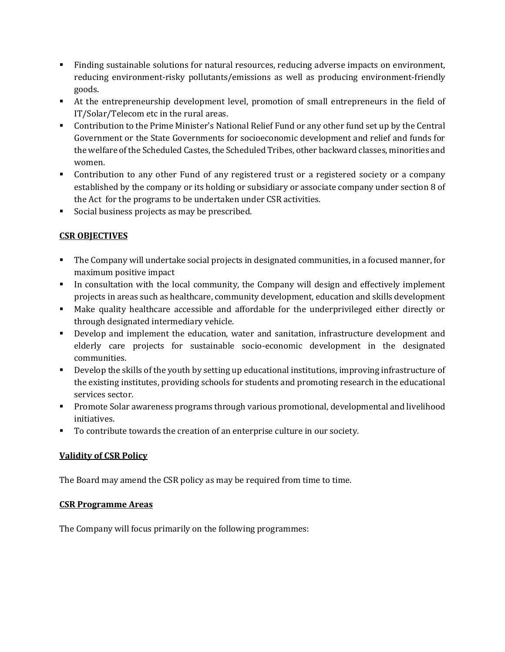- Finding sustainable solutions for natural resources, reducing adverse impacts on environment, reducing environment-risky pollutants/emissions as well as producing environment-friendly goods.
- At the entrepreneurship development level, promotion of small entrepreneurs in the field of IT/Solar/Telecom etc in the rural areas.
- Contribution to the Prime Minister's National Relief Fund or any other fund set up by the Central Government or the State Governments for socioeconomic development and relief and funds for the welfare of the Scheduled Castes, the Scheduled Tribes, other backward classes, minorities and women.
- Contribution to any other Fund of any registered trust or a registered society or a company established by the company or its holding or subsidiary or associate company under section 8 of the Act for the programs to be undertaken under CSR activities.
- Social business projects as may be prescribed.

# **CSR OBJECTIVES**

- The Company will undertake social projects in designated communities, in a focused manner, for maximum positive impact
- In consultation with the local community, the Company will design and effectively implement projects in areas such as healthcare, community development, education and skills development
- Make quality healthcare accessible and affordable for the underprivileged either directly or through designated intermediary vehicle.
- Develop and implement the education, water and sanitation, infrastructure development and elderly care projects for sustainable socio-economic development in the designated communities.
- Develop the skills of the youth by setting up educational institutions, improving infrastructure of the existing institutes, providing schools for students and promoting research in the educational services sector.
- Promote Solar awareness programs through various promotional, developmental and livelihood initiatives.
- To contribute towards the creation of an enterprise culture in our society.

# **Validity of CSR Policy**

The Board may amend the CSR policy as may be required from time to time.

# **CSR Programme Areas**

The Company will focus primarily on the following programmes: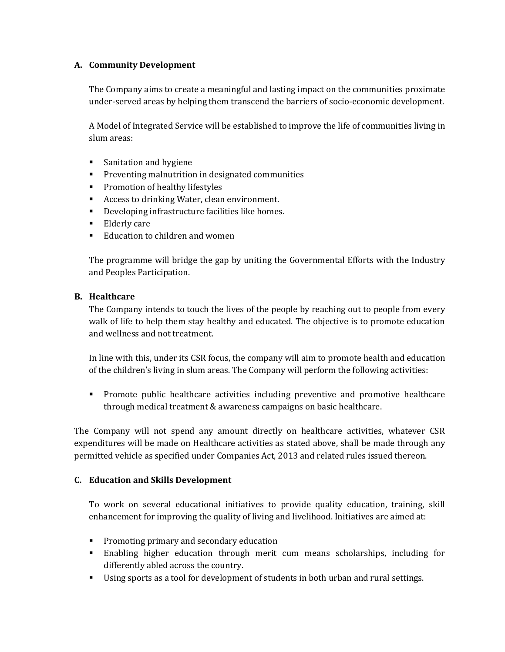## **A. Community Development**

The Company aims to create a meaningful and lasting impact on the communities proximate under-served areas by helping them transcend the barriers of socio-economic development.

A Model of Integrated Service will be established to improve the life of communities living in slum areas:

- **Sanitation and hygiene**
- **Preventing malnutrition in designated communities**
- **Promotion of healthy lifestyles**
- Access to drinking Water, clean environment.
- Developing infrastructure facilities like homes.
- Elderly care
- Education to children and women

The programme will bridge the gap by uniting the Governmental Efforts with the Industry and Peoples Participation.

## **B. Healthcare**

The Company intends to touch the lives of the people by reaching out to people from every walk of life to help them stay healthy and educated. The objective is to promote education and wellness and not treatment.

In line with this, under its CSR focus, the company will aim to promote health and education of the children's living in slum areas. The Company will perform the following activities:

 Promote public healthcare activities including preventive and promotive healthcare through medical treatment & awareness campaigns on basic healthcare.

The Company will not spend any amount directly on healthcare activities, whatever CSR expenditures will be made on Healthcare activities as stated above, shall be made through any permitted vehicle as specified under Companies Act, 2013 and related rules issued thereon.

## **C. Education and Skills Development**

To work on several educational initiatives to provide quality education, training, skill enhancement for improving the quality of living and livelihood. Initiatives are aimed at:

- **Promoting primary and secondary education**
- Enabling higher education through merit cum means scholarships, including for differently abled across the country.
- Using sports as a tool for development of students in both urban and rural settings.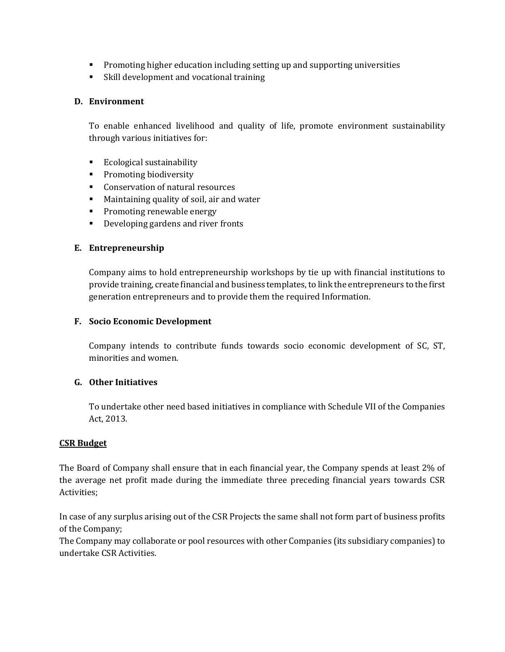- Promoting higher education including setting up and supporting universities
- Skill development and vocational training

### **D. Environment**

To enable enhanced livelihood and quality of life, promote environment sustainability through various initiatives for:

- **Ecological sustainability**
- **•** Promoting biodiversity
- **Conservation of natural resources**
- Maintaining quality of soil, air and water
- **Promoting renewable energy**
- Developing gardens and river fronts

#### **E. Entrepreneurship**

Company aims to hold entrepreneurship workshops by tie up with financial institutions to provide training, create financial and business templates, to link the entrepreneurs to the first generation entrepreneurs and to provide them the required Information.

#### **F. Socio Economic Development**

Company intends to contribute funds towards socio economic development of SC, ST, minorities and women.

## **G. Other Initiatives**

To undertake other need based initiatives in compliance with Schedule VII of the Companies Act, 2013.

#### **CSR Budget**

The Board of Company shall ensure that in each financial year, the Company spends at least 2% of the average net profit made during the immediate three preceding financial years towards CSR Activities;

In case of any surplus arising out of the CSR Projects the same shall not form part of business profits of the Company;

The Company may collaborate or pool resources with other Companies (its subsidiary companies) to undertake CSR Activities.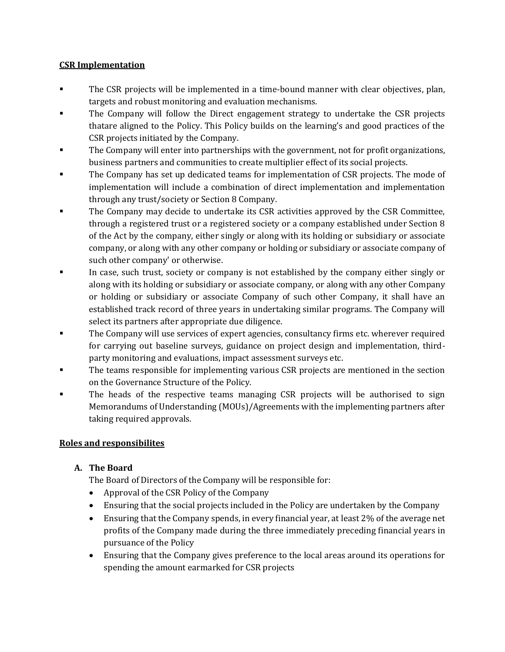## **CSR Implementation**

- The CSR projects will be implemented in a time-bound manner with clear objectives, plan, targets and robust monitoring and evaluation mechanisms.
- The Company will follow the Direct engagement strategy to undertake the CSR projects thatare aligned to the Policy. This Policy builds on the learning's and good practices of the CSR projects initiated by the Company.
- The Company will enter into partnerships with the government, not for profit organizations, business partners and communities to create multiplier effect of its social projects.
- The Company has set up dedicated teams for implementation of CSR projects. The mode of implementation will include a combination of direct implementation and implementation through any trust/society or Section 8 Company.
- The Company may decide to undertake its CSR activities approved by the CSR Committee, through a registered trust or a registered society or a company established under Section 8 of the Act by the company, either singly or along with its holding or subsidiary or associate company, or along with any other company or holding or subsidiary or associate company of such other company' or otherwise.
- In case, such trust, society or company is not established by the company either singly or along with its holding or subsidiary or associate company, or along with any other Company or holding or subsidiary or associate Company of such other Company, it shall have an established track record of three years in undertaking similar programs. The Company will select its partners after appropriate due diligence.
- The Company will use services of expert agencies, consultancy firms etc. wherever required for carrying out baseline surveys, guidance on project design and implementation, thirdparty monitoring and evaluations, impact assessment surveys etc.
- The teams responsible for implementing various CSR projects are mentioned in the section on the Governance Structure of the Policy.
- The heads of the respective teams managing CSR projects will be authorised to sign Memorandums of Understanding (MOUs)/Agreements with the implementing partners after taking required approvals.

# **Roles and responsibilites**

# **A. The Board**

The Board of Directors of the Company will be responsible for:

- Approval of the CSR Policy of the Company
- Ensuring that the social projects included in the Policy are undertaken by the Company
- Ensuring that the Company spends, in every financial year, at least 2% of the average net profits of the Company made during the three immediately preceding financial years in pursuance of the Policy
- Ensuring that the Company gives preference to the local areas around its operations for spending the amount earmarked for CSR projects